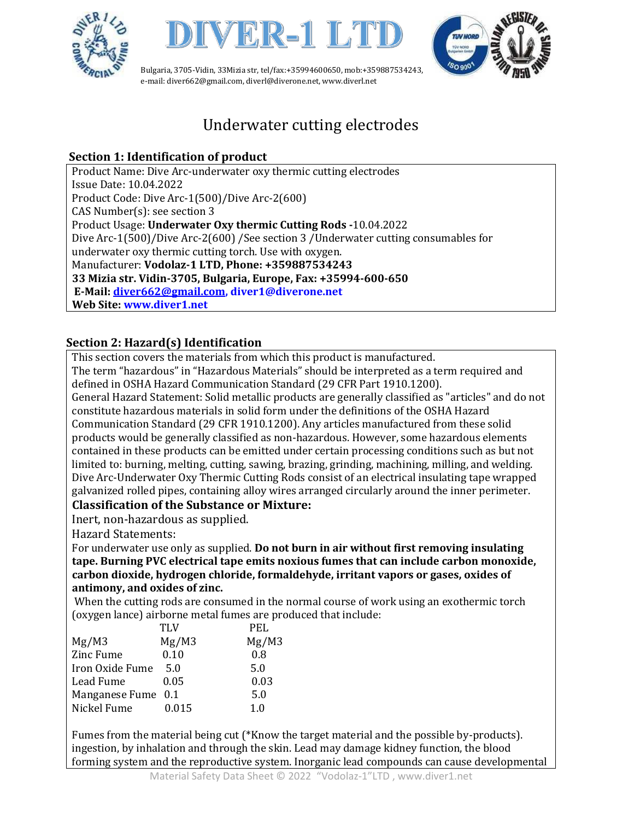





# Underwater cutting electrodes

## **Section 1: Identification of product**

Product Name: Dive Arc-underwater oxy thermic cutting electrodes Issue Date: 10.04.2022 Product Code: Dive Arc-1(500)/Dive Arc-2(600) CAS Number(s): see section 3 Product Usage: **Underwater Oxy thermic Cutting Rods -**10.04.2022 Dive Arc-1(500)/Dive Arc-2(600) /See section 3 /Underwater cutting consumables for underwater oxy thermic cutting torch. Use with oxygen. Manufacturer: **Vodolaz-1 LTD, Phone: +359887534243 33 Mizia str. Vidin-3705, Bulgaria, Europe, Fax: +35994-600-650 E-Mail: [diver662@gmail.com,](mailto:diver662@gmail.com) diver1@diverone.net Web Site: www.diver1.net**

## **Section 2: Hazard(s) Identification**

This section covers the materials from which this product is manufactured.

The term "hazardous" in "Hazardous Materials" should be interpreted as a term required and defined in OSHA Hazard Communication Standard (29 CFR Part 1910.1200).

General Hazard Statement: Solid metallic products are generally classified as "articles" and do not constitute hazardous materials in solid form under the definitions of the OSHA Hazard Communication Standard (29 CFR 1910.1200). Any articles manufactured from these solid products would be generally classified as non-hazardous. However, some hazardous elements contained in these products can be emitted under certain processing conditions such as but not limited to: burning, melting, cutting, sawing, brazing, grinding, machining, milling, and welding. Dive Arc-Underwater Oxy Thermic Cutting Rods consist of an electrical insulating tape wrapped galvanized rolled pipes, containing alloy wires arranged circularly around the inner perimeter.

## **Classification of the Substance or Mixture:**

Inert, non-hazardous as supplied.

Hazard Statements:

For underwater use only as supplied. **Do not burn in air without first removing insulating tape. Burning PVC electrical tape emits noxious fumes that can include carbon monoxide, carbon dioxide, hydrogen chloride, formaldehyde, irritant vapors or gases, oxides of antimony, and oxides of zinc.**

When the cutting rods are consumed in the normal course of work using an exothermic torch (oxygen lance) airborne metal fumes are produced that include:

|       | PEL.                                      |
|-------|-------------------------------------------|
|       | Mg/M3                                     |
| 0.10  | 0.8                                       |
| 5.0   | 5.0                                       |
| 0.05  | 0.03                                      |
|       | 5.0                                       |
| 0.015 | 1.0                                       |
|       | <b>TLV</b><br>Mg/M3<br>Manganese Fume 0.1 |

Fumes from the material being cut (\*Know the target material and the possible by-products). ingestion, by inhalation and through the skin. Lead may damage kidney function, the blood forming system and the reproductive system. Inorganic lead compounds can cause developmental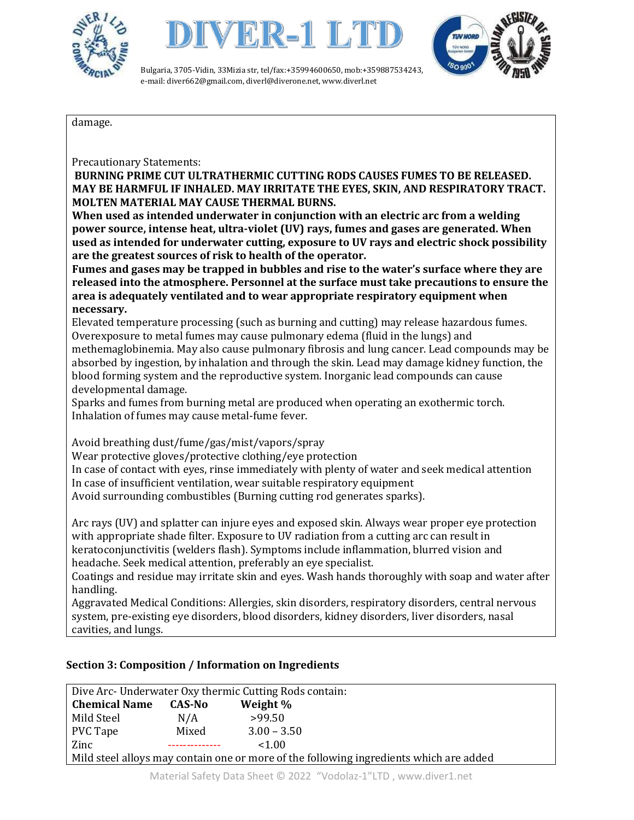





damage.

Precautionary Statements:

**BURNING PRIME CUT ULTRATHERMIC CUTTING RODS CAUSES FUMES TO BE RELEASED. MAY BE HARMFUL IF INHALED. MAY IRRITATE THE EYES, SKIN, AND RESPIRATORY TRACT. MOLTEN MATERIAL MAY CAUSE THERMAL BURNS.**

**When used as intended underwater in conjunction with an electric arc from a welding power source, intense heat, ultra-violet (UV) rays, fumes and gases are generated. When used as intended for underwater cutting, exposure to UV rays and electric shock possibility are the greatest sources of risk to health of the operator.** 

**Fumes and gases may be trapped in bubbles and rise to the water's surface where they are released into the atmosphere. Personnel at the surface must take precautions to ensure the area is adequately ventilated and to wear appropriate respiratory equipment when necessary.**

Elevated temperature processing (such as burning and cutting) may release hazardous fumes. Overexposure to metal fumes may cause pulmonary edema (fluid in the lungs) and methemaglobinemia. May also cause pulmonary fibrosis and lung cancer. Lead compounds may be absorbed by ingestion, by inhalation and through the skin. Lead may damage kidney function, the

blood forming system and the reproductive system. Inorganic lead compounds can cause developmental damage.

Sparks and fumes from burning metal are produced when operating an exothermic torch. Inhalation of fumes may cause metal-fume fever.

Avoid breathing dust/fume/gas/mist/vapors/spray

Wear protective gloves/protective clothing/eye protection In case of contact with eyes, rinse immediately with plenty of water and seek medical attention In case of insufficient ventilation, wear suitable respiratory equipment

Avoid surrounding combustibles (Burning cutting rod generates sparks).

Arc rays (UV) and splatter can injure eyes and exposed skin. Always wear proper eye protection with appropriate shade filter. Exposure to UV radiation from a cutting arc can result in keratoconjunctivitis (welders flash). Symptoms include inflammation, blurred vision and headache. Seek medical attention, preferably an eye specialist.

Coatings and residue may irritate skin and eyes. Wash hands thoroughly with soap and water after handling.

Aggravated Medical Conditions: Allergies, skin disorders, respiratory disorders, central nervous system, pre-existing eye disorders, blood disorders, kidney disorders, liver disorders, nasal cavities, and lungs.

## **Section 3: Composition / Information on Ingredients**

| Dive Arc- Underwater Oxy thermic Cutting Rods contain:                                 |        |               |  |  |  |
|----------------------------------------------------------------------------------------|--------|---------------|--|--|--|
| <b>Chemical Name</b>                                                                   | CAS-No | Weight %      |  |  |  |
| Mild Steel                                                                             | N/A    | >99.50        |  |  |  |
| PVC Tape                                                                               | Mixed  | $3.00 - 3.50$ |  |  |  |
| Zinc                                                                                   |        | <1.00         |  |  |  |
| Mild steel alloys may contain one or more of the following ingredients which are added |        |               |  |  |  |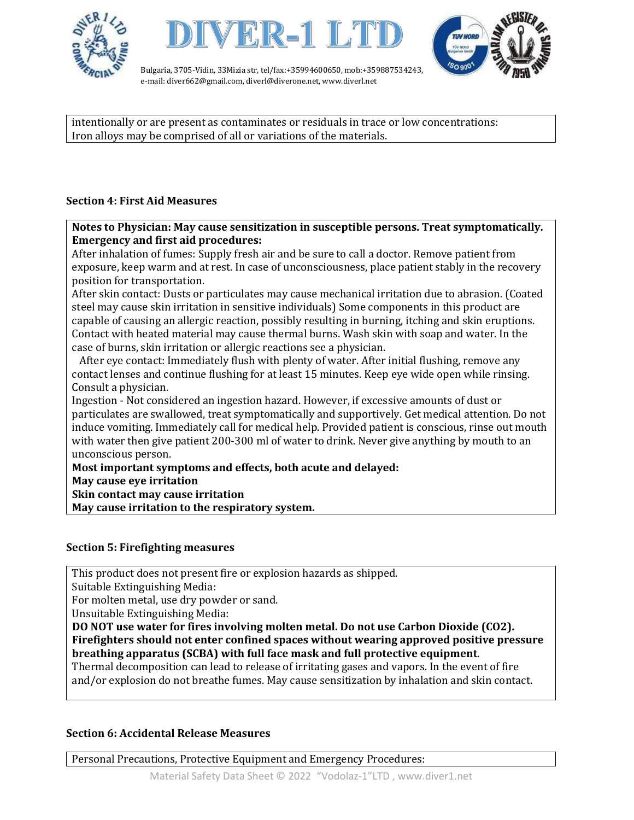





intentionally or are present as contaminates or residuals in trace or low concentrations: Iron alloys may be comprised of all or variations of the materials.

## **Section 4: First Aid Measures**

**Notes to Physician: May cause sensitization in susceptible persons. Treat symptomatically. Emergency and first aid procedures:**

After inhalation of fumes: Supply fresh air and be sure to call a doctor. Remove patient from exposure, keep warm and at rest. In case of unconsciousness, place patient stably in the recovery position for transportation.

After skin contact: Dusts or particulates may cause mechanical irritation due to abrasion. (Coated steel may cause skin irritation in sensitive individuals) Some components in this product are capable of causing an allergic reaction, possibly resulting in burning, itching and skin eruptions. Contact with heated material may cause thermal burns. Wash skin with soap and water. In the case of burns, skin irritation or allergic reactions see a physician.

 After eye contact: Immediately flush with plenty of water. After initial flushing, remove any contact lenses and continue flushing for at least 15 minutes. Keep eye wide open while rinsing. Consult a physician.

Ingestion - Not considered an ingestion hazard. However, if excessive amounts of dust or particulates are swallowed, treat symptomatically and supportively. Get medical attention. Do not induce vomiting. Immediately call for medical help. Provided patient is conscious, rinse out mouth with water then give patient 200-300 ml of water to drink. Never give anything by mouth to an unconscious person.

**Most important symptoms and effects, both acute and delayed:** 

**May cause eye irritation** 

**Skin contact may cause irritation** 

**May cause irritation to the respiratory system.**

#### **Section 5: Firefighting measures**

This product does not present fire or explosion hazards as shipped.

Suitable Extinguishing Media:

For molten metal, use dry powder or sand.

Unsuitable Extinguishing Media:

**DO NOT use water for fires involving molten metal. Do not use Carbon Dioxide (CO2). Firefighters should not enter confined spaces without wearing approved positive pressure breathing apparatus (SCBA) with full face mask and full protective equipment**.

Thermal decomposition can lead to release of irritating gases and vapors. In the event of fire and/or explosion do not breathe fumes. May cause sensitization by inhalation and skin contact.

## **Section 6: Accidental Release Measures**

Personal Precautions, Protective Equipment and Emergency Procedures: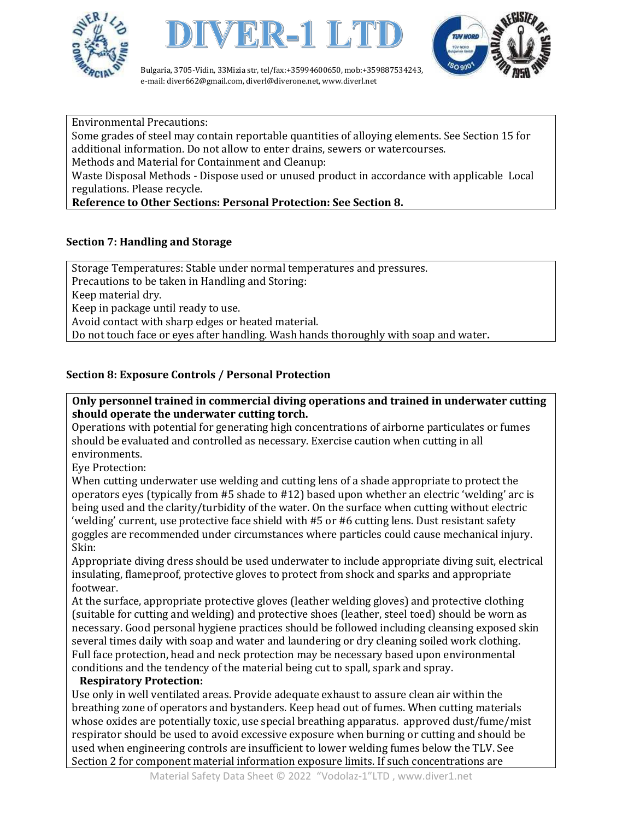





Environmental Precautions:

Some grades of steel may contain reportable quantities of alloying elements. See Section 15 for additional information. Do not allow to enter drains, sewers or watercourses.

Methods and Material for Containment and Cleanup:

Waste Disposal Methods - Dispose used or unused product in accordance with applicable Local regulations. Please recycle.

## **Reference to Other Sections: Personal Protection: See Section 8.**

## **Section 7: Handling and Storage**

Storage Temperatures: Stable under normal temperatures and pressures. Precautions to be taken in Handling and Storing: Keep material dry. Keep in package until ready to use. Avoid contact with sharp edges or heated material. Do not touch face or eyes after handling. Wash hands thoroughly with soap and water**.**

## **Section 8: Exposure Controls / Personal Protection**

#### **Only personnel trained in commercial diving operations and trained in underwater cutting should operate the underwater cutting torch.**

Operations with potential for generating high concentrations of airborne particulates or fumes should be evaluated and controlled as necessary. Exercise caution when cutting in all environments.

Eye Protection:

When cutting underwater use welding and cutting lens of a shade appropriate to protect the operators eyes (typically from #5 shade to #12) based upon whether an electric 'welding' arc is being used and the clarity/turbidity of the water. On the surface when cutting without electric 'welding' current, use protective face shield with #5 or #6 cutting lens. Dust resistant safety goggles are recommended under circumstances where particles could cause mechanical injury. Skin:

Appropriate diving dress should be used underwater to include appropriate diving suit, electrical insulating, flameproof, protective gloves to protect from shock and sparks and appropriate footwear.

At the surface, appropriate protective gloves (leather welding gloves) and protective clothing (suitable for cutting and welding) and protective shoes (leather, steel toed) should be worn as necessary. Good personal hygiene practices should be followed including cleansing exposed skin several times daily with soap and water and laundering or dry cleaning soiled work clothing. Full face protection, head and neck protection may be necessary based upon environmental conditions and the tendency of the material being cut to spall, spark and spray.

#### **Respiratory Protection:**

Use only in well ventilated areas. Provide adequate exhaust to assure clean air within the breathing zone of operators and bystanders. Keep head out of fumes. When cutting materials whose oxides are potentially toxic, use special breathing apparatus. approved dust/fume/mist respirator should be used to avoid excessive exposure when burning or cutting and should be used when engineering controls are insufficient to lower welding fumes below the TLV. See Section 2 for component material information exposure limits. If such concentrations are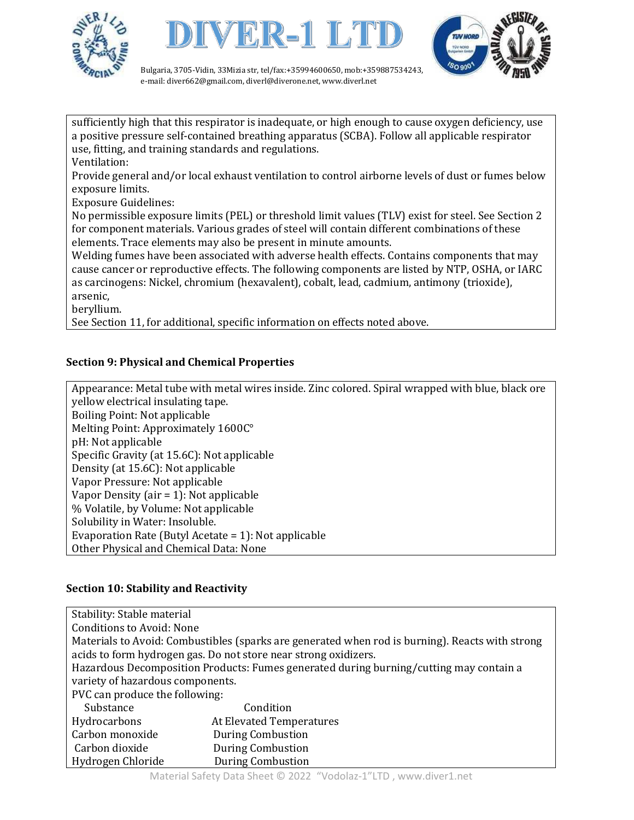





sufficiently high that this respirator is inadequate, or high enough to cause oxygen deficiency, use a positive pressure self-contained breathing apparatus (SCBA). Follow all applicable respirator use, fitting, and training standards and regulations.

Ventilation:

Provide general and/or local exhaust ventilation to control airborne levels of dust or fumes below exposure limits.

Exposure Guidelines:

No permissible exposure limits (PEL) or threshold limit values (TLV) exist for steel. See Section 2 for component materials. Various grades of steel will contain different combinations of these elements. Trace elements may also be present in minute amounts.

Welding fumes have been associated with adverse health effects. Contains components that may cause cancer or reproductive effects. The following components are listed by NTP, OSHA, or IARC as carcinogens: Nickel, chromium (hexavalent), cobalt, lead, cadmium, antimony (trioxide), arsenic,

beryllium.

See Section 11, for additional, specific information on effects noted above.

## **Section 9: Physical and Chemical Properties**

Appearance: Metal tube with metal wires inside. Zinc colored. Spiral wrapped with blue, black ore yellow electrical insulating tape. Boiling Point: Not applicable Melting Point: Approximately 1600C° pH: Not applicable Specific Gravity (at 15.6C): Not applicable Density (at 15.6C): Not applicable Vapor Pressure: Not applicable Vapor Density (air = 1): Not applicable % Volatile, by Volume: Not applicable Solubility in Water: Insoluble. Evaporation Rate (Butyl Acetate = 1): Not applicable Other Physical and Chemical Data: None

## **Section 10: Stability and Reactivity**

| Stability: Stable material                                                                      |                          |  |  |  |  |
|-------------------------------------------------------------------------------------------------|--------------------------|--|--|--|--|
| <b>Conditions to Avoid: None</b>                                                                |                          |  |  |  |  |
| Materials to Avoid: Combustibles (sparks are generated when rod is burning). Reacts with strong |                          |  |  |  |  |
| acids to form hydrogen gas. Do not store near strong oxidizers.                                 |                          |  |  |  |  |
| Hazardous Decomposition Products: Fumes generated during burning/cutting may contain a          |                          |  |  |  |  |
| variety of hazardous components.                                                                |                          |  |  |  |  |
| PVC can produce the following:                                                                  |                          |  |  |  |  |
| Substance                                                                                       | Condition                |  |  |  |  |
| Hydrocarbons                                                                                    | At Elevated Temperatures |  |  |  |  |
| Carbon monoxide                                                                                 | <b>During Combustion</b> |  |  |  |  |
| Carbon dioxide                                                                                  | <b>During Combustion</b> |  |  |  |  |
| Hydrogen Chloride                                                                               | <b>During Combustion</b> |  |  |  |  |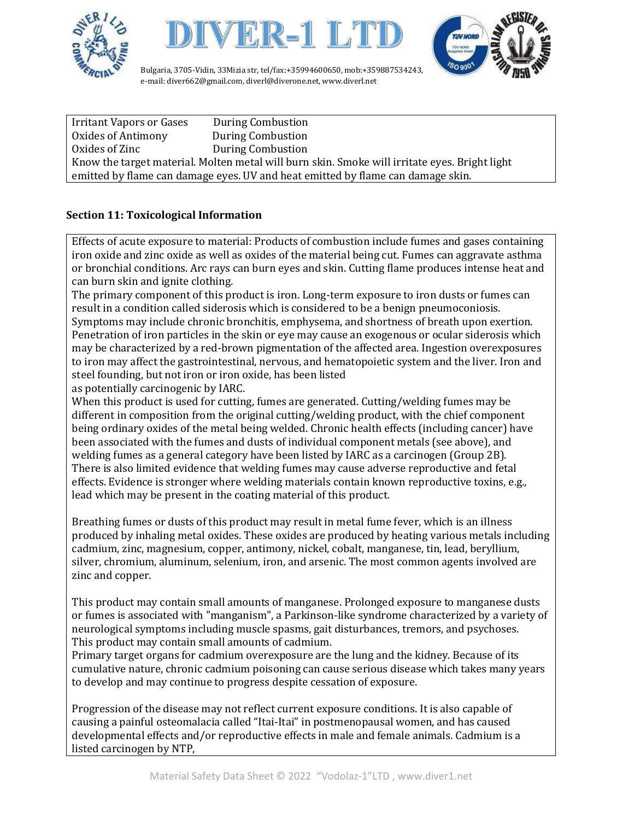





Irritant Vapors or Gases During Combustion Oxides of Antimony During Combustion Oxides of Zinc **During Combustion** Know the target material. Molten metal will burn skin. Smoke will irritate eyes. Bright light emitted by flame can damage eyes. UV and heat emitted by flame can damage skin.

## **Section 11: Toxicological Information**

Effects of acute exposure to material: Products of combustion include fumes and gases containing iron oxide and zinc oxide as well as oxides of the material being cut. Fumes can aggravate asthma or bronchial conditions. Arc rays can burn eyes and skin. Cutting flame produces intense heat and can burn skin and ignite clothing.

The primary component of this product is iron. Long-term exposure to iron dusts or fumes can result in a condition called siderosis which is considered to be a benign pneumoconiosis. Symptoms may include chronic bronchitis, emphysema, and shortness of breath upon exertion.

Penetration of iron particles in the skin or eye may cause an exogenous or ocular siderosis which may be characterized by a red-brown pigmentation of the affected area. Ingestion overexposures to iron may affect the gastrointestinal, nervous, and hematopoietic system and the liver. Iron and steel founding, but not iron or iron oxide, has been listed

as potentially carcinogenic by IARC.

When this product is used for cutting, fumes are generated. Cutting/welding fumes may be different in composition from the original cutting/welding product, with the chief component being ordinary oxides of the metal being welded. Chronic health effects (including cancer) have been associated with the fumes and dusts of individual component metals (see above), and welding fumes as a general category have been listed by IARC as a carcinogen (Group 2B). There is also limited evidence that welding fumes may cause adverse reproductive and fetal effects. Evidence is stronger where welding materials contain known reproductive toxins, e.g., lead which may be present in the coating material of this product.

Breathing fumes or dusts of this product may result in metal fume fever, which is an illness produced by inhaling metal oxides. These oxides are produced by heating various metals including cadmium, zinc, magnesium, copper, antimony, nickel, cobalt, manganese, tin, lead, beryllium, silver, chromium, aluminum, selenium, iron, and arsenic. The most common agents involved are zinc and copper.

This product may contain small amounts of manganese. Prolonged exposure to manganese dusts or fumes is associated with "manganism", a Parkinson-like syndrome characterized by a variety of neurological symptoms including muscle spasms, gait disturbances, tremors, and psychoses. This product may contain small amounts of cadmium.

Primary target organs for cadmium overexposure are the lung and the kidney. Because of its cumulative nature, chronic cadmium poisoning can cause serious disease which takes many years to develop and may continue to progress despite cessation of exposure.

Progression of the disease may not reflect current exposure conditions. It is also capable of causing a painful osteomalacia called "Itai-Itai" in postmenopausal women, and has caused developmental effects and/or reproductive effects in male and female animals. Cadmium is a listed carcinogen by NTP,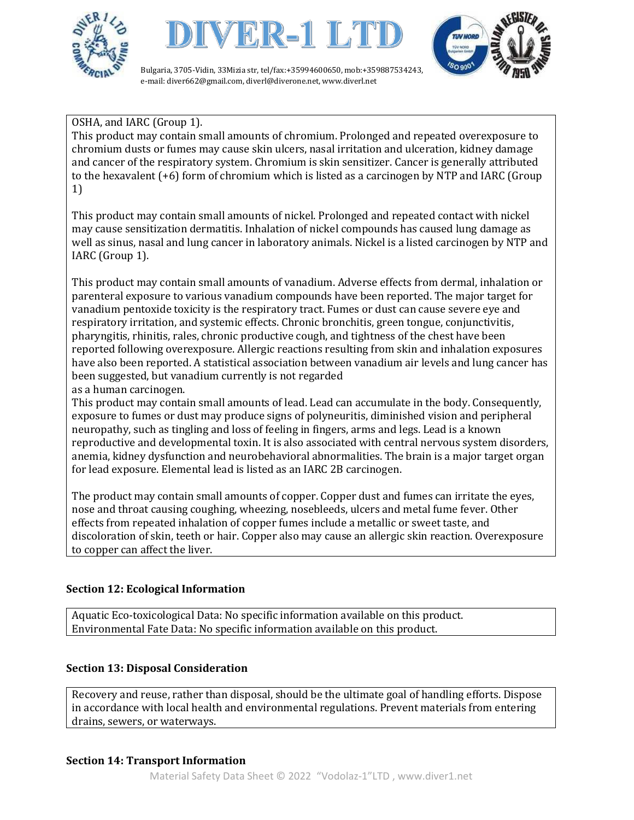





## OSHA, and IARC (Group 1).

This product may contain small amounts of chromium. Prolonged and repeated overexposure to chromium dusts or fumes may cause skin ulcers, nasal irritation and ulceration, kidney damage and cancer of the respiratory system. Chromium is skin sensitizer. Cancer is generally attributed to the hexavalent (+6) form of chromium which is listed as a carcinogen by NTP and IARC (Group 1)

This product may contain small amounts of nickel. Prolonged and repeated contact with nickel may cause sensitization dermatitis. Inhalation of nickel compounds has caused lung damage as well as sinus, nasal and lung cancer in laboratory animals. Nickel is a listed carcinogen by NTP and IARC (Group 1).

This product may contain small amounts of vanadium. Adverse effects from dermal, inhalation or parenteral exposure to various vanadium compounds have been reported. The major target for vanadium pentoxide toxicity is the respiratory tract. Fumes or dust can cause severe eye and respiratory irritation, and systemic effects. Chronic bronchitis, green tongue, conjunctivitis, pharyngitis, rhinitis, rales, chronic productive cough, and tightness of the chest have been reported following overexposure. Allergic reactions resulting from skin and inhalation exposures have also been reported. A statistical association between vanadium air levels and lung cancer has been suggested, but vanadium currently is not regarded

as a human carcinogen.

This product may contain small amounts of lead. Lead can accumulate in the body. Consequently, exposure to fumes or dust may produce signs of polyneuritis, diminished vision and peripheral neuropathy, such as tingling and loss of feeling in fingers, arms and legs. Lead is a known reproductive and developmental toxin. It is also associated with central nervous system disorders, anemia, kidney dysfunction and neurobehavioral abnormalities. The brain is a major target organ for lead exposure. Elemental lead is listed as an IARC 2B carcinogen.

The product may contain small amounts of copper. Copper dust and fumes can irritate the eyes, nose and throat causing coughing, wheezing, nosebleeds, ulcers and metal fume fever. Other effects from repeated inhalation of copper fumes include a metallic or sweet taste, and discoloration of skin, teeth or hair. Copper also may cause an allergic skin reaction. Overexposure to copper can affect the liver.

## **Section 12: Ecological Information**

Aquatic Eco-toxicological Data: No specific information available on this product. Environmental Fate Data: No specific information available on this product.

## **Section 13: Disposal Consideration**

Recovery and reuse, rather than disposal, should be the ultimate goal of handling efforts. Dispose in accordance with local health and environmental regulations. Prevent materials from entering drains, sewers, or waterways.

## **Section 14: Transport Information**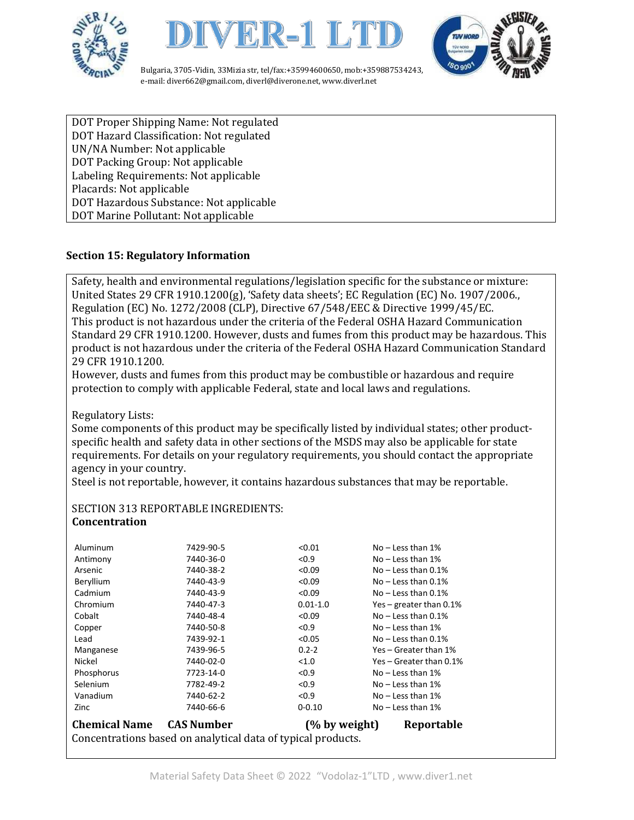





DOT Proper Shipping Name: Not regulated DOT Hazard Classification: Not regulated UN/NA Number: Not applicable DOT Packing Group: Not applicable Labeling Requirements: Not applicable Placards: Not applicable DOT Hazardous Substance: Not applicable DOT Marine Pollutant: Not applicable

#### **Section 15: Regulatory Information**

Safety, health and environmental regulations/legislation specific for the substance or mixture: United States 29 CFR 1910.1200(g), 'Safety data sheets'; EC Regulation (EC) No. 1907/2006., Regulation (EC) No. 1272/2008 (CLP), Directive 67/548/EEC & Directive 1999/45/EC. This product is not hazardous under the criteria of the Federal OSHA Hazard Communication Standard 29 CFR 1910.1200. However, dusts and fumes from this product may be hazardous. This product is not hazardous under the criteria of the Federal OSHA Hazard Communication Standard 29 CFR 1910.1200.

However, dusts and fumes from this product may be combustible or hazardous and require protection to comply with applicable Federal, state and local laws and regulations.

Regulatory Lists:

Some components of this product may be specifically listed by individual states; other productspecific health and safety data in other sections of the MSDS may also be applicable for state requirements. For details on your regulatory requirements, you should contact the appropriate agency in your country.

Steel is not reportable, however, it contains hazardous substances that may be reportable.

#### SECTION 313 REPORTABLE INGREDIENTS: **Concentration**

| <b>Chemical Name</b><br><b>CAS Number</b><br>(% by weight)<br>Reportable<br>Concentrations based on analytical data of typical products. |           |              |                            |  |  |
|------------------------------------------------------------------------------------------------------------------------------------------|-----------|--------------|----------------------------|--|--|
| Zinc                                                                                                                                     | 7440-66-6 | $0 - 0.10$   | $No - Less than 1%$        |  |  |
| Vanadium                                                                                                                                 | 7440-62-2 | < 0.9        | $No - Less than 1%$        |  |  |
| Selenium                                                                                                                                 | 7782-49-2 | < 0.9        | $No - Less than 1%$        |  |  |
| Phosphorus                                                                                                                               | 7723-14-0 | < 0.9        | $No - Less than 1%$        |  |  |
| Nickel                                                                                                                                   | 7440-02-0 | < 1.0        | Yes – Greater than 0.1%    |  |  |
| Manganese                                                                                                                                | 7439-96-5 | $0.2 - 2$    | Yes - Greater than 1%      |  |  |
| Lead                                                                                                                                     | 7439-92-1 | < 0.05       | $No - Less than 0.1%$      |  |  |
| Copper                                                                                                                                   | 7440-50-8 | < 0.9        | $No - Less than 1%$        |  |  |
| Cobalt                                                                                                                                   | 7440-48-4 | < 0.09       | $No - Less than 0.1%$      |  |  |
| Chromium                                                                                                                                 | 7440-47-3 | $0.01 - 1.0$ | Yes – greater than $0.1\%$ |  |  |
| Cadmium                                                                                                                                  | 7440-43-9 | < 0.09       | $No - Less than 0.1%$      |  |  |
| Beryllium                                                                                                                                | 7440-43-9 | < 0.09       | $No - Less than 0.1%$      |  |  |
| Arsenic                                                                                                                                  | 7440-38-2 | < 0.09       | $No - Less than 0.1%$      |  |  |
| Antimony                                                                                                                                 | 7440-36-0 | < 0.9        | $No - Less than 1%$        |  |  |
| Aluminum                                                                                                                                 | 7429-90-5 | < 0.01       | $No - Less than 1%$        |  |  |